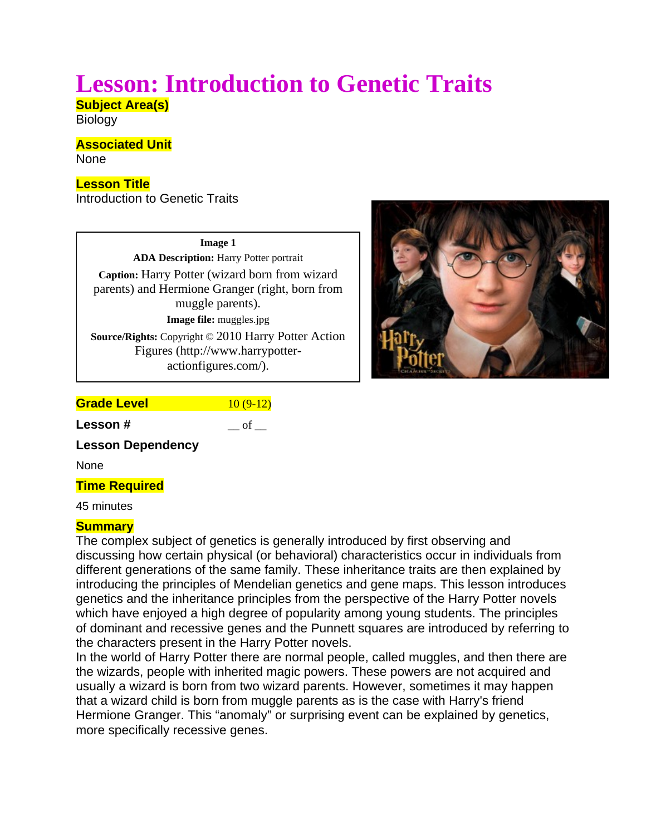# **Lesson: Introduction to Genetic Traits**

**Subject Area(s)** 

**Biology** 

### **Associated Unit**

None

# **Lesson Title**

Introduction to Genetic Traits

**Image 1 ADA Description:** Harry Potter portrait **Caption:** Harry Potter (wizard born from wizard parents) and Hermione Granger (right, born from muggle parents). **Image file:** muggles.jpg **Source/Rights:** Copyright © 2010 Harry Potter Action Figures (http://www.harrypotteractionfigures.com/).



| <b>Grade Level</b> |  |
|--------------------|--|
|                    |  |

**Lesson #**  $\qquad \qquad$  of

**Lesson Dependency** 

None

# **Time Required**

45 minutes

# **Summary**

The complex subject of genetics is generally introduced by first observing and discussing how certain physical (or behavioral) characteristics occur in individuals from different generations of the same family. These inheritance traits are then explained by introducing the principles of Mendelian genetics and gene maps. This lesson introduces genetics and the inheritance principles from the perspective of the Harry Potter novels which have enjoyed a high degree of popularity among young students. The principles of dominant and recessive genes and the Punnett squares are introduced by referring to the characters present in the Harry Potter novels.

In the world of Harry Potter there are normal people, called muggles, and then there are the wizards, people with inherited magic powers. These powers are not acquired and usually a wizard is born from two wizard parents. However, sometimes it may happen that a wizard child is born from muggle parents as is the case with Harry's friend Hermione Granger. This "anomaly" or surprising event can be explained by genetics, more specifically recessive genes.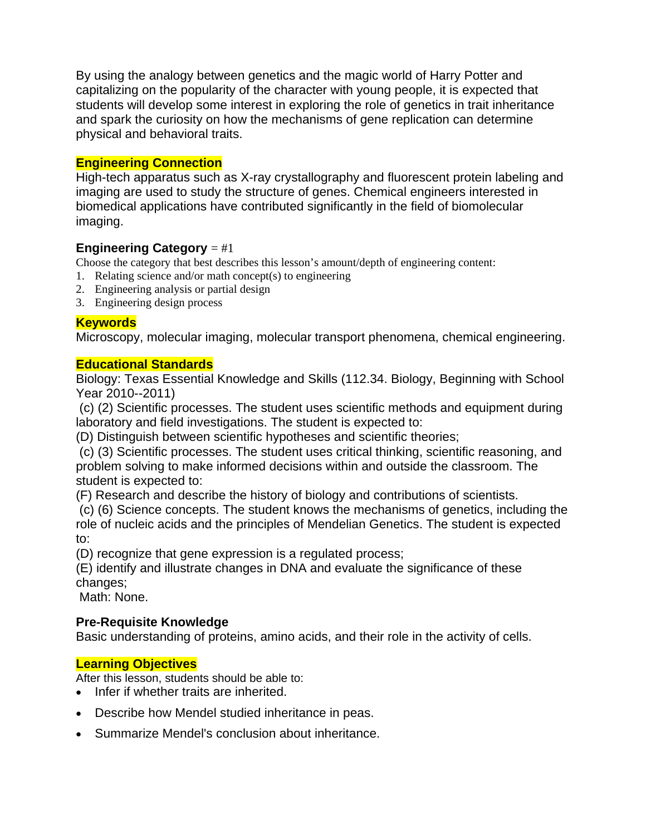By using the analogy between genetics and the magic world of Harry Potter and capitalizing on the popularity of the character with young people, it is expected that students will develop some interest in exploring the role of genetics in trait inheritance and spark the curiosity on how the mechanisms of gene replication can determine physical and behavioral traits.

# **Engineering Connection**

High-tech apparatus such as X-ray crystallography and fluorescent protein labeling and imaging are used to study the structure of genes. Chemical engineers interested in biomedical applications have contributed significantly in the field of biomolecular imaging.

#### **Engineering Category** = #1

Choose the category that best describes this lesson's amount/depth of engineering content:

- 1. Relating science and/or math concept(s) to engineering
- 2. Engineering analysis or partial design
- 3. Engineering design process

# **Keywords**

Microscopy, molecular imaging, molecular transport phenomena, chemical engineering.

## **Educational Standards**

Biology: Texas Essential Knowledge and Skills (112.34. Biology, Beginning with School Year 2010--2011)

 (c) (2) Scientific processes. The student uses scientific methods and equipment during laboratory and field investigations. The student is expected to:

(D) Distinguish between scientific hypotheses and scientific theories;

 (c) (3) Scientific processes. The student uses critical thinking, scientific reasoning, and problem solving to make informed decisions within and outside the classroom. The student is expected to:

(F) Research and describe the history of biology and contributions of scientists.

 (c) (6) Science concepts. The student knows the mechanisms of genetics, including the role of nucleic acids and the principles of Mendelian Genetics. The student is expected to:

(D) recognize that gene expression is a regulated process;

(E) identify and illustrate changes in DNA and evaluate the significance of these changes;

Math: None.

# **Pre-Requisite Knowledge**

Basic understanding of proteins, amino acids, and their role in the activity of cells.

# **Learning Objectives**

After this lesson, students should be able to:

- Infer if whether traits are inherited.
- Describe how Mendel studied inheritance in peas.
- Summarize Mendel's conclusion about inheritance.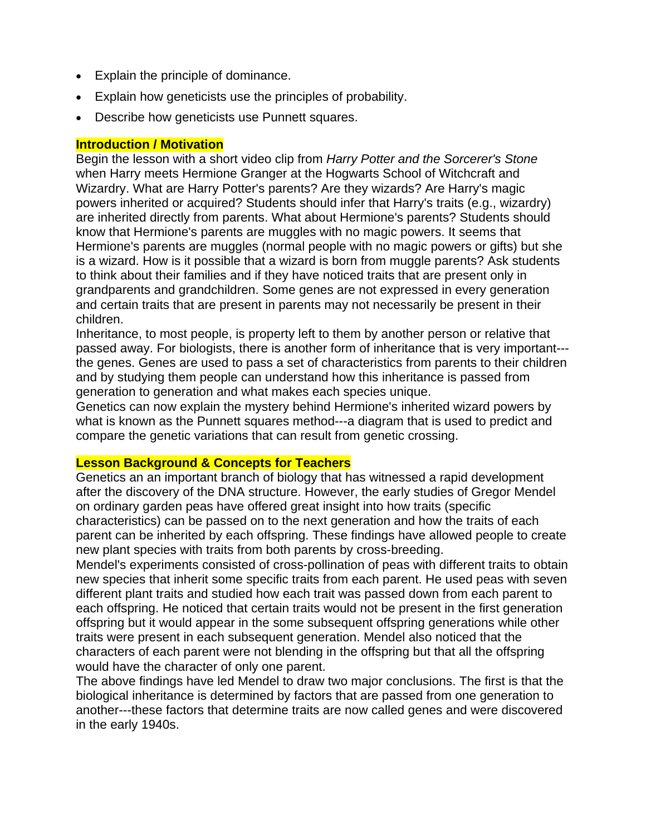- Explain the principle of dominance.
- Explain how geneticists use the principles of probability.
- Describe how geneticists use Punnett squares.

#### **Introduction / Motivation**

Begin the lesson with a short video clip from *Harry Potter and the Sorcerer's Stone* when Harry meets Hermione Granger at the Hogwarts School of Witchcraft and Wizardry. What are Harry Potter's parents? Are they wizards? Are Harry's magic powers inherited or acquired? Students should infer that Harry's traits (e.g., wizardry) are inherited directly from parents. What about Hermione's parents? Students should know that Hermione's parents are muggles with no magic powers. It seems that Hermione's parents are muggles (normal people with no magic powers or gifts) but she is a wizard. How is it possible that a wizard is born from muggle parents? Ask students to think about their families and if they have noticed traits that are present only in grandparents and grandchildren. Some genes are not expressed in every generation and certain traits that are present in parents may not necessarily be present in their children.

Inheritance, to most people, is property left to them by another person or relative that passed away. For biologists, there is another form of inheritance that is very important-- the genes. Genes are used to pass a set of characteristics from parents to their children and by studying them people can understand how this inheritance is passed from generation to generation and what makes each species unique.

Genetics can now explain the mystery behind Hermione's inherited wizard powers by what is known as the Punnett squares method---a diagram that is used to predict and compare the genetic variations that can result from genetic crossing.

#### **Lesson Background & Concepts for Teachers**

Genetics an an important branch of biology that has witnessed a rapid development after the discovery of the DNA structure. However, the early studies of Gregor Mendel on ordinary garden peas have offered great insight into how traits (specific characteristics) can be passed on to the next generation and how the traits of each parent can be inherited by each offspring. These findings have allowed people to create new plant species with traits from both parents by cross-breeding.

Mendel's experiments consisted of cross-pollination of peas with different traits to obtain new species that inherit some specific traits from each parent. He used peas with seven different plant traits and studied how each trait was passed down from each parent to each offspring. He noticed that certain traits would not be present in the first generation offspring but it would appear in the some subsequent offspring generations while other traits were present in each subsequent generation. Mendel also noticed that the characters of each parent were not blending in the offspring but that all the offspring would have the character of only one parent.

The above findings have led Mendel to draw two major conclusions. The first is that the biological inheritance is determined by factors that are passed from one generation to another---these factors that determine traits are now called genes and were discovered in the early 1940s.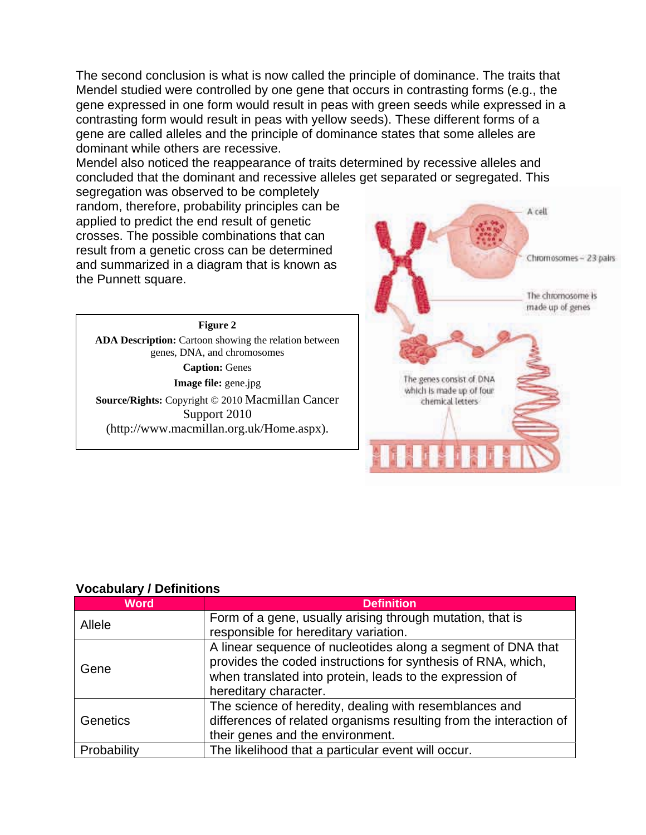The second conclusion is what is now called the principle of dominance. The traits that Mendel studied were controlled by one gene that occurs in contrasting forms (e.g., the gene expressed in one form would result in peas with green seeds while expressed in a contrasting form would result in peas with yellow seeds). These different forms of a gene are called alleles and the principle of dominance states that some alleles are dominant while others are recessive.

Mendel also noticed the reappearance of traits determined by recessive alleles and concluded that the dominant and recessive alleles get separated or segregated. This

segregation was observed to be completely random, therefore, probability principles can be applied to predict the end result of genetic crosses. The possible combinations that can result from a genetic cross can be determined and summarized in a diagram that is known as the Punnett square.

**Figure 2 ADA Description:** Cartoon showing the relation between genes, DNA, and chromosomes **Caption:** Genes **Image file:** gene.jpg **Source/Rights:** Copyright © 2010 Macmillan Cancer Support 2010 (http://www.macmillan.org.uk/Home.aspx).



| <u>, Journal, Polinicons</u> |                                                                                                                                                                                                                   |
|------------------------------|-------------------------------------------------------------------------------------------------------------------------------------------------------------------------------------------------------------------|
| <b>Word</b>                  | <b>Definition</b>                                                                                                                                                                                                 |
| Allele                       | Form of a gene, usually arising through mutation, that is<br>responsible for hereditary variation.                                                                                                                |
| Gene                         | A linear sequence of nucleotides along a segment of DNA that<br>provides the coded instructions for synthesis of RNA, which,<br>when translated into protein, leads to the expression of<br>hereditary character. |
| Genetics                     | The science of heredity, dealing with resemblances and<br>differences of related organisms resulting from the interaction of<br>their genes and the environment.                                                  |
| Probability                  | The likelihood that a particular event will occur.                                                                                                                                                                |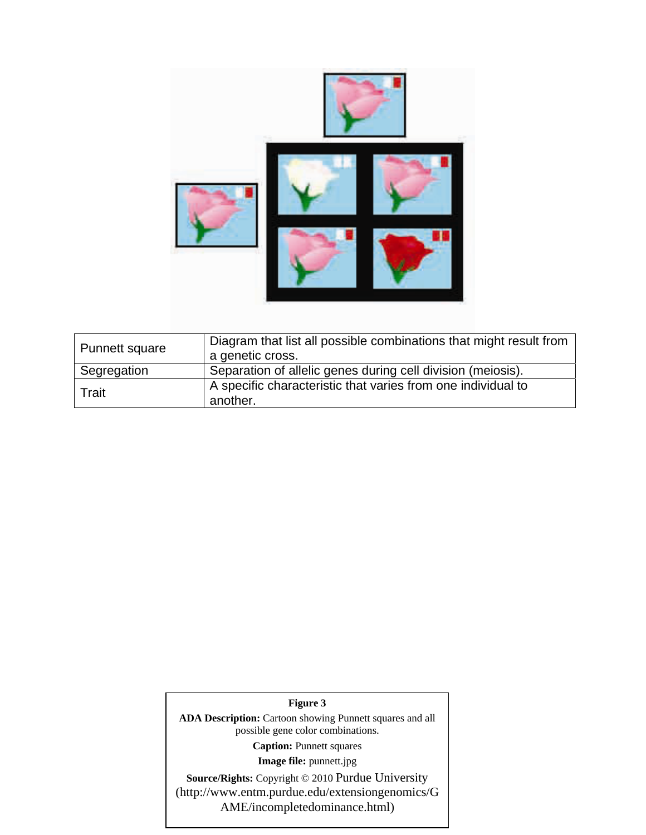

| Punnett square | Diagram that list all possible combinations that might result from<br>a genetic cross. |
|----------------|----------------------------------------------------------------------------------------|
| Segregation    | Separation of allelic genes during cell division (meiosis).                            |
| Trait          | A specific characteristic that varies from one individual to<br>another.               |

#### **Figure 3**

**ADA Description:** Cartoon showing Punnett squares and all possible gene color combinations.

**Caption:** Punnett squares

**Image file:** punnett.jpg

**Source/Rights:** Copyright © 2010 Purdue University (http://www.entm.purdue.edu/extensiongenomics/G AME/incompletedominance.html)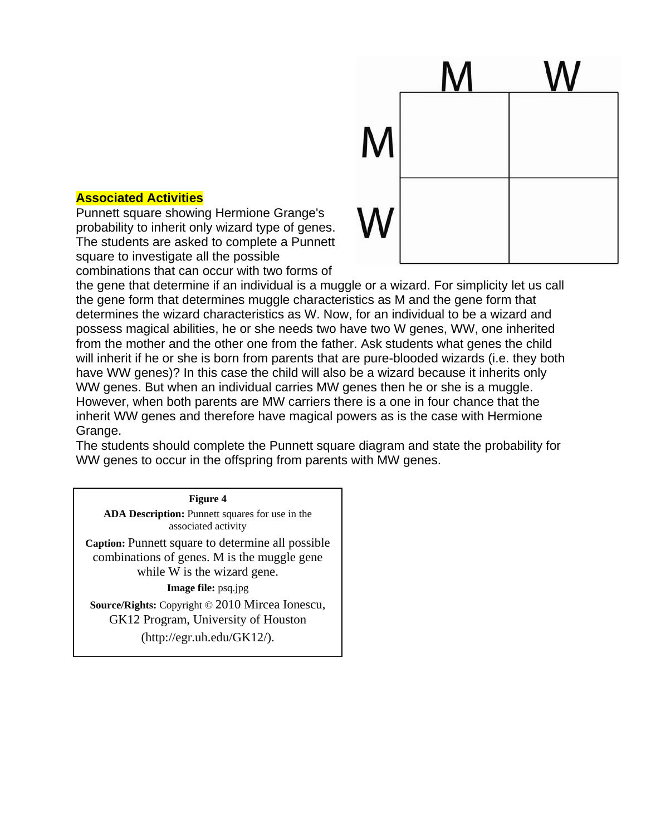

#### **Associated Activities**

Punnett square showing Hermione Grange's probability to inherit only wizard type of genes. The students are asked to complete a Punnett square to investigate all the possible combinations that can occur with two forms of

the gene that determine if an individual is a muggle or a wizard. For simplicity let us call the gene form that determines muggle characteristics as M and the gene form that determines the wizard characteristics as W. Now, for an individual to be a wizard and possess magical abilities, he or she needs two have two W genes, WW, one inherited from the mother and the other one from the father. Ask students what genes the child will inherit if he or she is born from parents that are pure-blooded wizards (i.e. they both have WW genes)? In this case the child will also be a wizard because it inherits only WW genes. But when an individual carries MW genes then he or she is a muggle. However, when both parents are MW carriers there is a one in four chance that the inherit WW genes and therefore have magical powers as is the case with Hermione Grange.

The students should complete the Punnett square diagram and state the probability for WW genes to occur in the offspring from parents with MW genes.

#### **Figure 4**

**ADA Description:** Punnett squares for use in the associated activity

**Caption:** Punnett square to determine all possible combinations of genes. M is the muggle gene while W is the wizard gene.

**Image file:** psq.jpg

**Source/Rights:** Copyright © 2010 Mircea Ionescu, GK12 Program, University of Houston

(http://egr.uh.edu/GK12/).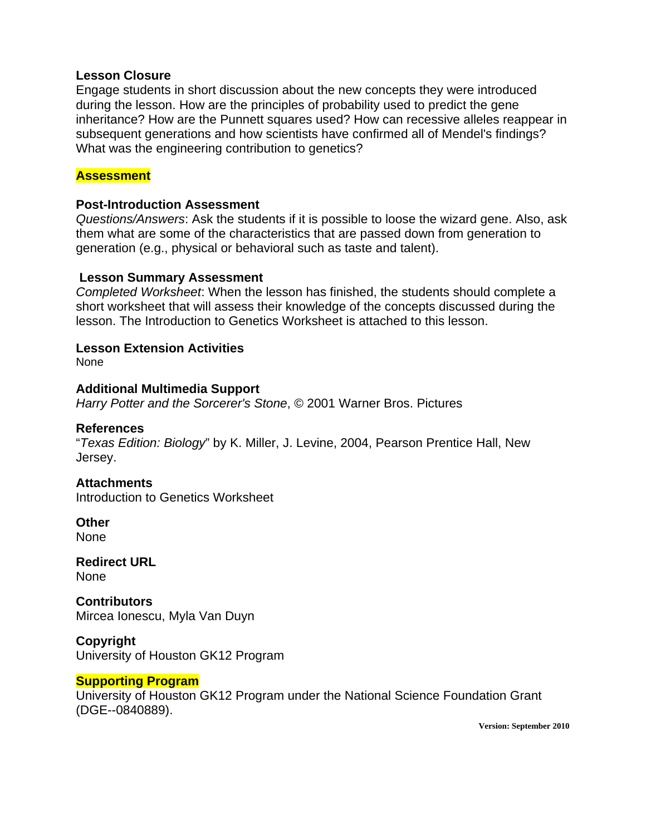#### **Lesson Closure**

Engage students in short discussion about the new concepts they were introduced during the lesson. How are the principles of probability used to predict the gene inheritance? How are the Punnett squares used? How can recessive alleles reappear in subsequent generations and how scientists have confirmed all of Mendel's findings? What was the engineering contribution to genetics?

#### **Assessment**

#### **Post-Introduction Assessment**

*Questions/Answers*: Ask the students if it is possible to loose the wizard gene. Also, ask them what are some of the characteristics that are passed down from generation to generation (e.g., physical or behavioral such as taste and talent).

### **Lesson Summary Assessment**

*Completed Worksheet*: When the lesson has finished, the students should complete a short worksheet that will assess their knowledge of the concepts discussed during the lesson. The Introduction to Genetics Worksheet is attached to this lesson.

#### **Lesson Extension Activities**

None

#### **Additional Multimedia Support**

*Harry Potter and the Sorcerer's Stone*, © 2001 Warner Bros. Pictures

#### **References**

"*Texas Edition: Biology*" by K. Miller, J. Levine, 2004, Pearson Prentice Hall, New Jersey.

#### **Attachments**

Introduction to Genetics Worksheet

**Other** 

None

**Redirect URL**  None

**Contributors** Mircea Ionescu, Myla Van Duyn

**Copyright**  University of Houston GK12 Program

#### **Supporting Program**

University of Houston GK12 Program under the National Science Foundation Grant (DGE--0840889).

**Version: September 2010**